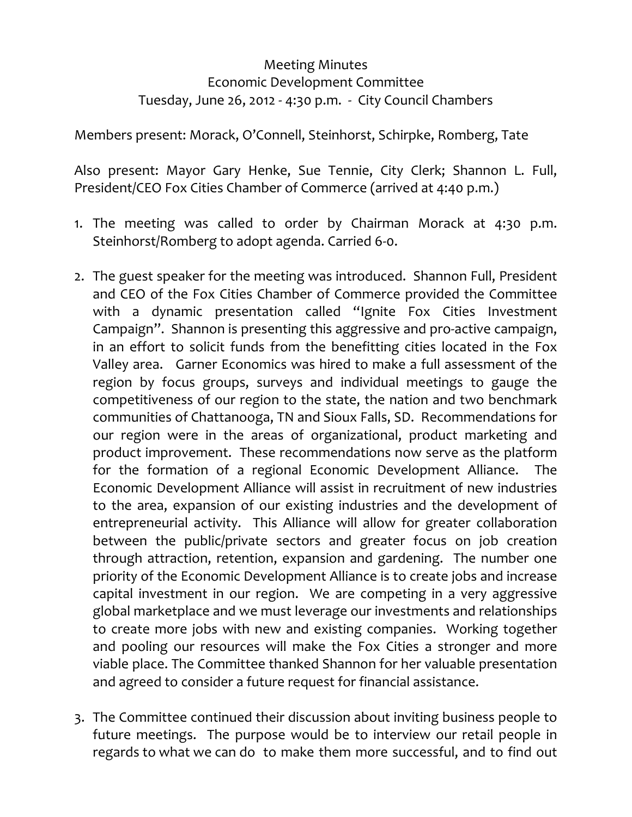## Meeting Minutes Economic Development Committee Tuesday, June 26, 2012 ‐ 4:30 p.m. ‐ City Council Chambers

Members present: Morack, O'Connell, Steinhorst, Schirpke, Romberg, Tate

Also present: Mayor Gary Henke, Sue Tennie, City Clerk; Shannon L. Full, President/CEO Fox Cities Chamber of Commerce (arrived at 4:40 p.m.)

- 1. The meeting was called to order by Chairman Morack at 4:30 p.m. Steinhorst/Romberg to adopt agenda. Carried 6‐0.
- 2. The guest speaker for the meeting was introduced. Shannon Full, President and CEO of the Fox Cities Chamber of Commerce provided the Committee with a dynamic presentation called "Ignite Fox Cities Investment Campaign". Shannon is presenting this aggressive and pro‐active campaign, in an effort to solicit funds from the benefitting cities located in the Fox Valley area. Garner Economics was hired to make a full assessment of the region by focus groups, surveys and individual meetings to gauge the competitiveness of our region to the state, the nation and two benchmark communities of Chattanooga, TN and Sioux Falls, SD. Recommendations for our region were in the areas of organizational, product marketing and product improvement. These recommendations now serve as the platform for the formation of a regional Economic Development Alliance. The Economic Development Alliance will assist in recruitment of new industries to the area, expansion of our existing industries and the development of entrepreneurial activity. This Alliance will allow for greater collaboration between the public/private sectors and greater focus on job creation through attraction, retention, expansion and gardening. The number one priority of the Economic Development Alliance is to create jobs and increase capital investment in our region. We are competing in a very aggressive global marketplace and we must leverage our investments and relationships to create more jobs with new and existing companies. Working together and pooling our resources will make the Fox Cities a stronger and more viable place. The Committee thanked Shannon for her valuable presentation and agreed to consider a future request for financial assistance.
- 3. The Committee continued their discussion about inviting business people to future meetings. The purpose would be to interview our retail people in regards to what we can do to make them more successful, and to find out